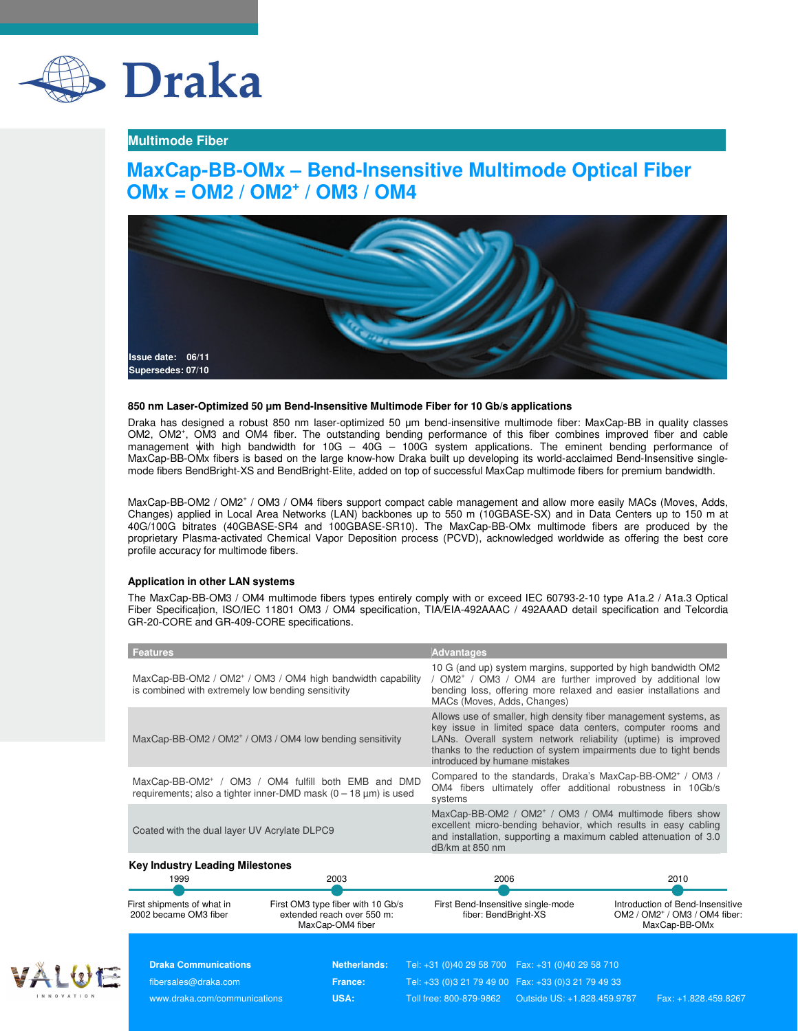

### **Multimode Fiber**

## **MaxCap-BB-OMx – Bend-Insensitive Multimode Optical Fiber OMx = OM2 / OM2<sup>+</sup> / OM3 / OM4**



#### **850 nm Laser-Optimized 50** µ**m Bend-Insensitive Multimode Fiber for 10 Gb/s applications**

Draka has designed a robust 850 nm laser-optimized 50 µm bend-insensitive multimode fiber: MaxCap-BB in quality classes OM2, OM2<sup>+</sup>, OM3 and OM4 fiber. The outstanding bending performance of this fiber combines improved fiber and cable management with high bandwidth for 10G – 40G – 100G system applications. The eminent bending performance of MaxCap-BB-OMx fibers is based on the large know-how Draka built up developing its world-acclaimed Bend-Insensitive singlemode fibers BendBright-XS and BendBright-Elite, added on top of successful MaxCap multimode fibers for premium bandwidth.

MaxCap-BB-OM2 / OM2<sup>+</sup> / OM3 / OM4 fibers support compact cable management and allow more easily MACs (Moves, Adds, Changes) applied in Local Area Networks (LAN) backbones up to 550 m (10GBASE-SX) and in Data Centers up to 150 m at 40G/100G bitrates (40GBASE-SR4 and 100GBASE-SR10). The MaxCap-BB-OMx multimode fibers are produced by the proprietary Plasma-activated Chemical Vapor Deposition process (PCVD), acknowledged worldwide as offering the best core profile accuracy for multimode fibers.

#### **Application in other LAN systems**

The MaxCap-BB-OM3 / OM4 multimode fibers types entirely comply with or exceed IEC 60793-2-10 type A1a.2 / A1a.3 Optical Fiber Specification, ISO/IEC 11801 OM3 / OM4 specification, TIA/EIA-492AAAC / 492AAAD detail specification and Telcordia GR-20-CORE and GR-409-CORE specifications.

| <b>Features</b>                                                                                                                         | <b>Advantages</b>                                                                                                                                                                                                                                                                                     |  |  |  |  |
|-----------------------------------------------------------------------------------------------------------------------------------------|-------------------------------------------------------------------------------------------------------------------------------------------------------------------------------------------------------------------------------------------------------------------------------------------------------|--|--|--|--|
| MaxCap-BB-OM2 / OM2 <sup>+</sup> / OM3 / OM4 high bandwidth capability<br>is combined with extremely low bending sensitivity            | 10 G (and up) system margins, supported by high bandwidth OM2<br>/ OM2 <sup>+</sup> / OM3 / OM4 are further improved by additional low<br>bending loss, offering more relaxed and easier installations and<br>MACs (Moves, Adds, Changes)                                                             |  |  |  |  |
| MaxCap-BB-OM2 / OM2 <sup>+</sup> / OM3 / OM4 low bending sensitivity                                                                    | Allows use of smaller, high density fiber management systems, as<br>key issue in limited space data centers, computer rooms and<br>LANs. Overall system network reliability (uptime) is improved<br>thanks to the reduction of system impairments due to tight bends<br>introduced by humane mistakes |  |  |  |  |
| MaxCap-BB-OM2 <sup>+</sup> / OM3 / OM4 fulfill both EMB and DMD<br>requirements; also a tighter inner-DMD mask $(0 - 18 \mu m)$ is used | Compared to the standards, Draka's MaxCap-BB-OM2 <sup>+</sup> / OM3 /<br>OM4 fibers ultimately offer additional robustness in 10Gb/s<br>systems                                                                                                                                                       |  |  |  |  |
| Coated with the dual layer UV Acrylate DLPC9                                                                                            | MaxCap-BB-OM2 / OM2 <sup>+</sup> / OM3 / OM4 multimode fibers show<br>excellent micro-bending behavior, which results in easy cabling<br>and installation, supporting a maximum cabled attenuation of 3.0<br>$dB/km$ at 850 nm                                                                        |  |  |  |  |
| <b>Key Industry Leading Milestones</b><br>1999<br>2003                                                                                  | 2006<br>2010                                                                                                                                                                                                                                                                                          |  |  |  |  |

| .                                                   | ----<br>----                                                                        |                                                            | ---                                                                                   |  |  |
|-----------------------------------------------------|-------------------------------------------------------------------------------------|------------------------------------------------------------|---------------------------------------------------------------------------------------|--|--|
|                                                     |                                                                                     |                                                            |                                                                                       |  |  |
|                                                     |                                                                                     |                                                            |                                                                                       |  |  |
| First shipments of what in<br>2002 became OM3 fiber | First OM3 type fiber with 10 Gb/s<br>extended reach over 550 m:<br>MaxCap-OM4 fiber | First Bend-Insensitive single-mode<br>fiber: BendBright-XS | Introduction of Bend-Insensitive<br>$OM2 / OM2^+ / OM3 / OM4$ fiber:<br>MaxCap-BB-OMx |  |  |



**Draka Communications Netherlands:** Tel: +31 (0)40 29 58 700 Fax: +31 (0)40 29 58 710 fibersales@draka.com **France:** Tel: +33 (0)3 21 79 49 00 Fax: +33 (0)3 21 79 49 33 www.draka.com/communications **USA:** Toll free: 800-879-9862 Outside US: +1.828.459.9787 Fax: +1.828.459.8267